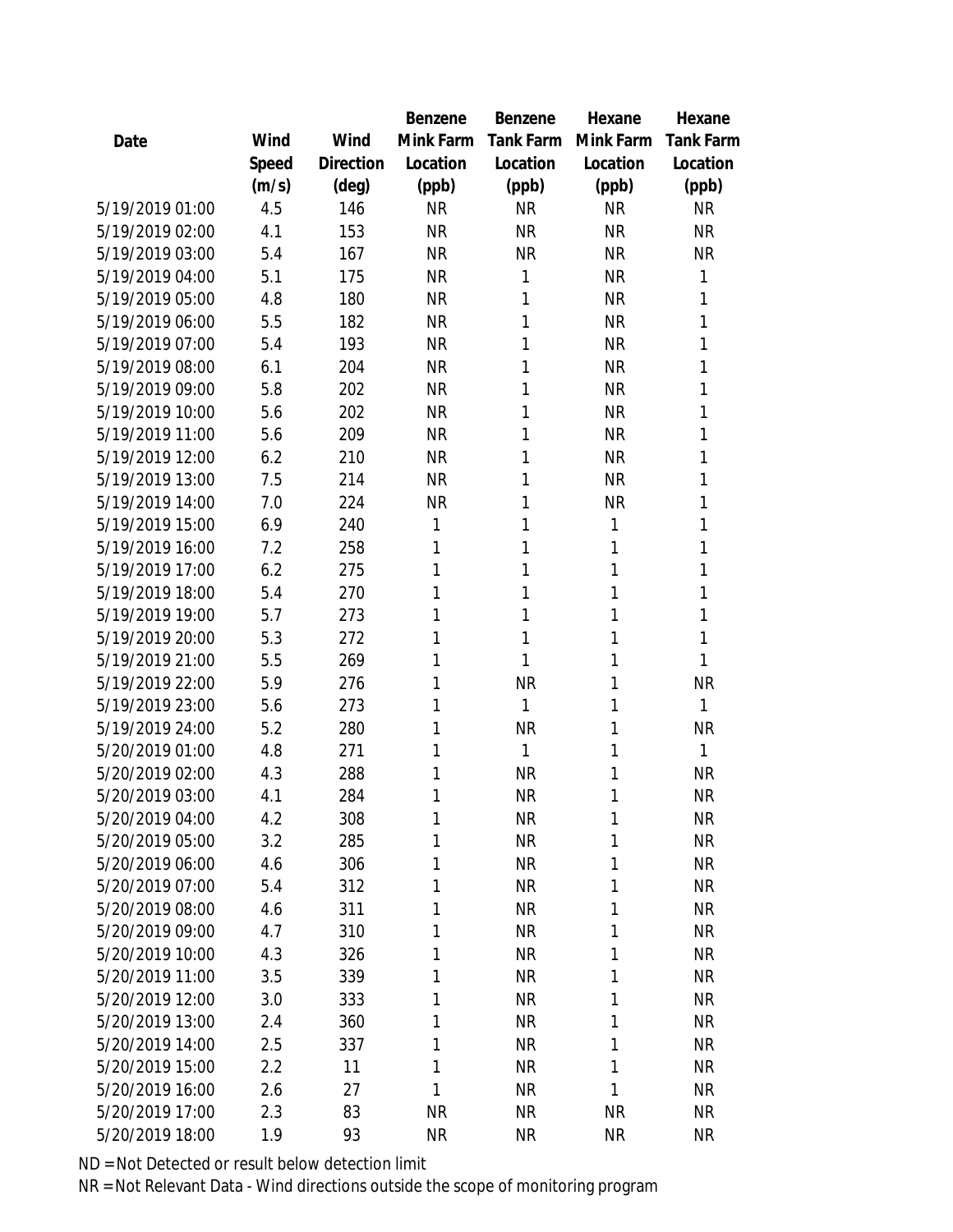|                 |       |           | Benzene   | Benzene   | Hexane       | Hexane           |
|-----------------|-------|-----------|-----------|-----------|--------------|------------------|
| Date            | Wind  | Wind      | Mink Farm | Tank Farm | Mink Farm    | <b>Tank Farm</b> |
|                 | Speed | Direction | Location  | Location  | Location     | Location         |
|                 | (m/s) | (deg)     | (ppb)     | (ppb)     | (ppb)        | (ppb)            |
| 5/19/2019 01:00 | 4.5   | 146       | <b>NR</b> | <b>NR</b> | <b>NR</b>    | <b>NR</b>        |
| 5/19/2019 02:00 | 4.1   | 153       | <b>NR</b> | <b>NR</b> | <b>NR</b>    | <b>NR</b>        |
| 5/19/2019 03:00 | 5.4   | 167       | <b>NR</b> | <b>NR</b> | <b>NR</b>    | <b>NR</b>        |
| 5/19/2019 04:00 | 5.1   | 175       | <b>NR</b> | 1         | <b>NR</b>    | 1                |
| 5/19/2019 05:00 | 4.8   | 180       | <b>NR</b> | 1         | <b>NR</b>    | 1                |
| 5/19/2019 06:00 | 5.5   | 182       | <b>NR</b> | 1         | <b>NR</b>    | 1                |
| 5/19/2019 07:00 | 5.4   | 193       | <b>NR</b> | 1         | <b>NR</b>    | 1                |
| 5/19/2019 08:00 | 6.1   | 204       | <b>NR</b> | 1         | <b>NR</b>    | 1                |
| 5/19/2019 09:00 | 5.8   | 202       | <b>NR</b> | 1         | <b>NR</b>    | 1                |
| 5/19/2019 10:00 | 5.6   | 202       | <b>NR</b> | 1         | <b>NR</b>    | 1                |
| 5/19/2019 11:00 | 5.6   | 209       | <b>NR</b> | 1         | <b>NR</b>    | 1                |
| 5/19/2019 12:00 | 6.2   | 210       | <b>NR</b> | 1         | <b>NR</b>    | 1                |
| 5/19/2019 13:00 | 7.5   | 214       | <b>NR</b> | 1         | <b>NR</b>    | 1                |
| 5/19/2019 14:00 | 7.0   | 224       | <b>NR</b> | 1         | <b>NR</b>    | 1                |
| 5/19/2019 15:00 | 6.9   | 240       | 1         | 1         | $\mathbf{1}$ | 1                |
| 5/19/2019 16:00 | 7.2   | 258       | 1         | 1         | 1            | 1                |
| 5/19/2019 17:00 | 6.2   | 275       | 1         | 1         | 1            | 1                |
| 5/19/2019 18:00 | 5.4   | 270       | 1         | 1         | 1            | 1                |
| 5/19/2019 19:00 | 5.7   | 273       | 1         | 1         | 1            | 1                |
| 5/19/2019 20:00 | 5.3   | 272       | 1         | 1         | 1            | 1                |
| 5/19/2019 21:00 | 5.5   | 269       | 1         | 1         | 1            | 1                |
| 5/19/2019 22:00 | 5.9   | 276       | 1         | <b>NR</b> | 1            | <b>NR</b>        |
| 5/19/2019 23:00 | 5.6   | 273       | 1         | 1         | 1            | 1                |
| 5/19/2019 24:00 | 5.2   | 280       | 1         | <b>NR</b> | 1            | <b>NR</b>        |
| 5/20/2019 01:00 | 4.8   | 271       | 1         | 1         | 1            | 1                |
| 5/20/2019 02:00 | 4.3   | 288       | 1         | <b>NR</b> | 1            | <b>NR</b>        |
| 5/20/2019 03:00 | 4.1   | 284       | 1         | <b>NR</b> | 1            | <b>NR</b>        |
| 5/20/2019 04:00 | 4.2   | 308       | 1         | <b>NR</b> | 1            | <b>NR</b>        |
| 5/20/2019 05:00 | 3.2   | 285       | 1         | <b>NR</b> | 1            | <b>NR</b>        |
| 5/20/2019 06:00 | 4.6   | 306       | 1         | <b>NR</b> | 1            | <b>NR</b>        |
| 5/20/2019 07:00 | 5.4   | 312       | 1         | <b>NR</b> | 1            | <b>NR</b>        |
| 5/20/2019 08:00 | 4.6   | 311       | 1         | <b>NR</b> | 1            | <b>NR</b>        |
| 5/20/2019 09:00 | 4.7   | 310       | 1         | <b>NR</b> | 1            | <b>NR</b>        |
| 5/20/2019 10:00 | 4.3   | 326       | 1         | <b>NR</b> | 1            | <b>NR</b>        |
| 5/20/2019 11:00 | 3.5   | 339       | 1         | <b>NR</b> | 1            | <b>NR</b>        |
| 5/20/2019 12:00 | 3.0   | 333       | 1         | <b>NR</b> | 1            | <b>NR</b>        |
| 5/20/2019 13:00 | 2.4   | 360       | 1         | <b>NR</b> | 1            | <b>NR</b>        |
| 5/20/2019 14:00 | 2.5   | 337       | 1         | <b>NR</b> | 1            | <b>NR</b>        |
| 5/20/2019 15:00 | 2.2   | 11        | 1         | <b>NR</b> | 1            | <b>NR</b>        |
| 5/20/2019 16:00 | 2.6   | 27        | 1         | <b>NR</b> | $\mathbf{1}$ | <b>NR</b>        |
| 5/20/2019 17:00 | 2.3   | 83        | <b>NR</b> | <b>NR</b> | <b>NR</b>    | <b>NR</b>        |
| 5/20/2019 18:00 | 1.9   | 93        | <b>NR</b> | <b>NR</b> | <b>NR</b>    | <b>NR</b>        |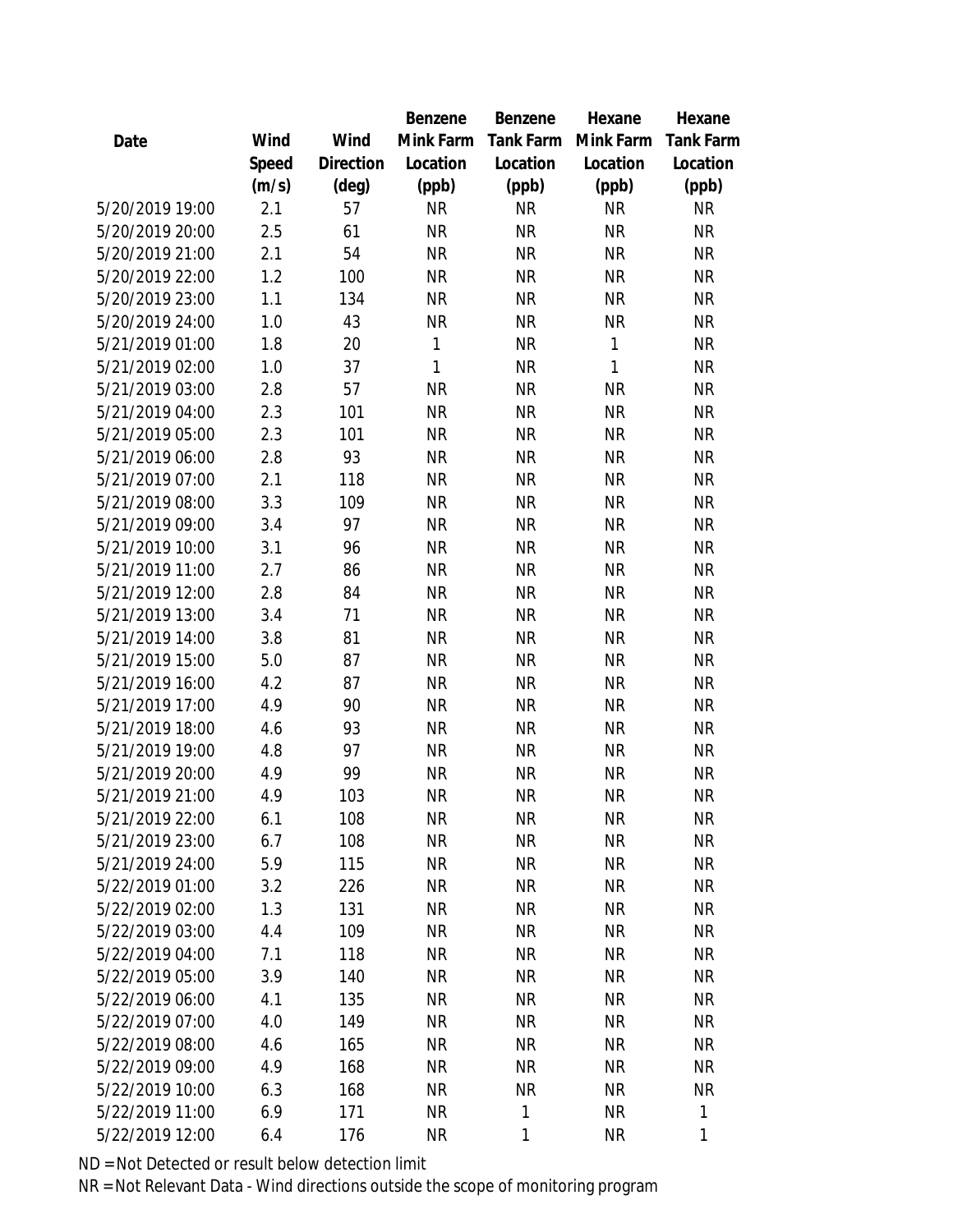|                 |       |                | Benzene   | Benzene   | Hexane    | Hexane    |
|-----------------|-------|----------------|-----------|-----------|-----------|-----------|
| Date            | Wind  | Wind           | Mink Farm | Tank Farm | Mink Farm | Tank Farm |
|                 | Speed | Direction      | Location  | Location  | Location  | Location  |
|                 | (m/s) | $(\text{deg})$ | (ppb)     | (ppb)     | (ppb)     | (ppb)     |
| 5/20/2019 19:00 | 2.1   | 57             | <b>NR</b> | <b>NR</b> | <b>NR</b> | <b>NR</b> |
| 5/20/2019 20:00 | 2.5   | 61             | <b>NR</b> | <b>NR</b> | <b>NR</b> | <b>NR</b> |
| 5/20/2019 21:00 | 2.1   | 54             | <b>NR</b> | <b>NR</b> | <b>NR</b> | <b>NR</b> |
| 5/20/2019 22:00 | 1.2   | 100            | <b>NR</b> | <b>NR</b> | <b>NR</b> | <b>NR</b> |
| 5/20/2019 23:00 | 1.1   | 134            | <b>NR</b> | <b>NR</b> | <b>NR</b> | <b>NR</b> |
| 5/20/2019 24:00 | 1.0   | 43             | <b>NR</b> | <b>NR</b> | <b>NR</b> | <b>NR</b> |
| 5/21/2019 01:00 | 1.8   | 20             | 1         | <b>NR</b> | 1         | <b>NR</b> |
| 5/21/2019 02:00 | 1.0   | 37             | 1         | <b>NR</b> | 1         | <b>NR</b> |
| 5/21/2019 03:00 | 2.8   | 57             | <b>NR</b> | <b>NR</b> | ΝR        | <b>NR</b> |
| 5/21/2019 04:00 | 2.3   | 101            | <b>NR</b> | <b>NR</b> | <b>NR</b> | <b>NR</b> |
| 5/21/2019 05:00 | 2.3   | 101            | <b>NR</b> | <b>NR</b> | <b>NR</b> | <b>NR</b> |
| 5/21/2019 06:00 | 2.8   | 93             | <b>NR</b> | <b>NR</b> | <b>NR</b> | <b>NR</b> |
| 5/21/2019 07:00 | 2.1   | 118            | <b>NR</b> | <b>NR</b> | <b>NR</b> | <b>NR</b> |
| 5/21/2019 08:00 | 3.3   | 109            | <b>NR</b> | <b>NR</b> | <b>NR</b> | <b>NR</b> |
| 5/21/2019 09:00 | 3.4   | 97             | <b>NR</b> | <b>NR</b> | <b>NR</b> | <b>NR</b> |
| 5/21/2019 10:00 | 3.1   | 96             | <b>NR</b> | <b>NR</b> | <b>NR</b> | <b>NR</b> |
| 5/21/2019 11:00 | 2.7   | 86             | <b>NR</b> | <b>NR</b> | <b>NR</b> | <b>NR</b> |
| 5/21/2019 12:00 | 2.8   | 84             | <b>NR</b> | <b>NR</b> | <b>NR</b> | <b>NR</b> |
| 5/21/2019 13:00 | 3.4   | 71             | <b>NR</b> | <b>NR</b> | <b>NR</b> | <b>NR</b> |
| 5/21/2019 14:00 | 3.8   | 81             | <b>NR</b> | <b>NR</b> | <b>NR</b> | <b>NR</b> |
| 5/21/2019 15:00 | 5.0   | 87             | <b>NR</b> | <b>NR</b> | <b>NR</b> | <b>NR</b> |
| 5/21/2019 16:00 | 4.2   | 87             | <b>NR</b> | <b>NR</b> | <b>NR</b> | <b>NR</b> |
| 5/21/2019 17:00 | 4.9   | 90             | <b>NR</b> | <b>NR</b> | <b>NR</b> | <b>NR</b> |
| 5/21/2019 18:00 | 4.6   | 93             | <b>NR</b> | <b>NR</b> | <b>NR</b> | <b>NR</b> |
| 5/21/2019 19:00 | 4.8   | 97             | <b>NR</b> | <b>NR</b> | <b>NR</b> | <b>NR</b> |
| 5/21/2019 20:00 | 4.9   | 99             | <b>NR</b> | <b>NR</b> | <b>NR</b> | <b>NR</b> |
| 5/21/2019 21:00 | 4.9   | 103            | <b>NR</b> | <b>NR</b> | <b>NR</b> | <b>NR</b> |
| 5/21/2019 22:00 | 6.1   | 108            | <b>NR</b> | <b>NR</b> | <b>NR</b> | <b>NR</b> |
| 5/21/2019 23:00 | 6.7   | 108            | <b>NR</b> | <b>NR</b> | <b>NR</b> | <b>NR</b> |
| 5/21/2019 24:00 | 5.9   | 115            | <b>NR</b> | <b>NR</b> | <b>NR</b> | <b>NR</b> |
| 5/22/2019 01:00 | 3.2   | 226            | <b>NR</b> | <b>NR</b> | <b>NR</b> | <b>NR</b> |
| 5/22/2019 02:00 | 1.3   | 131            | <b>NR</b> | NR        | <b>NR</b> | <b>NR</b> |
| 5/22/2019 03:00 | 4.4   | 109            | <b>NR</b> | NR        | <b>NR</b> | <b>NR</b> |
| 5/22/2019 04:00 | 7.1   | 118            | <b>NR</b> | <b>NR</b> | <b>NR</b> | <b>NR</b> |
| 5/22/2019 05:00 | 3.9   | 140            | <b>NR</b> | <b>NR</b> | <b>NR</b> | <b>NR</b> |
| 5/22/2019 06:00 | 4.1   | 135            | <b>NR</b> | <b>NR</b> | <b>NR</b> | <b>NR</b> |
| 5/22/2019 07:00 | 4.0   | 149            | <b>NR</b> | <b>NR</b> | <b>NR</b> | <b>NR</b> |
| 5/22/2019 08:00 | 4.6   | 165            | <b>NR</b> | <b>NR</b> | <b>NR</b> | <b>NR</b> |
| 5/22/2019 09:00 | 4.9   | 168            | <b>NR</b> | <b>NR</b> | <b>NR</b> | <b>NR</b> |
| 5/22/2019 10:00 | 6.3   | 168            | NR.       | NR        | <b>NR</b> | NR        |
| 5/22/2019 11:00 | 6.9   | 171            | <b>NR</b> | 1         | <b>NR</b> | 1         |
| 5/22/2019 12:00 | 6.4   | 176            | <b>NR</b> | 1         | <b>NR</b> | 1         |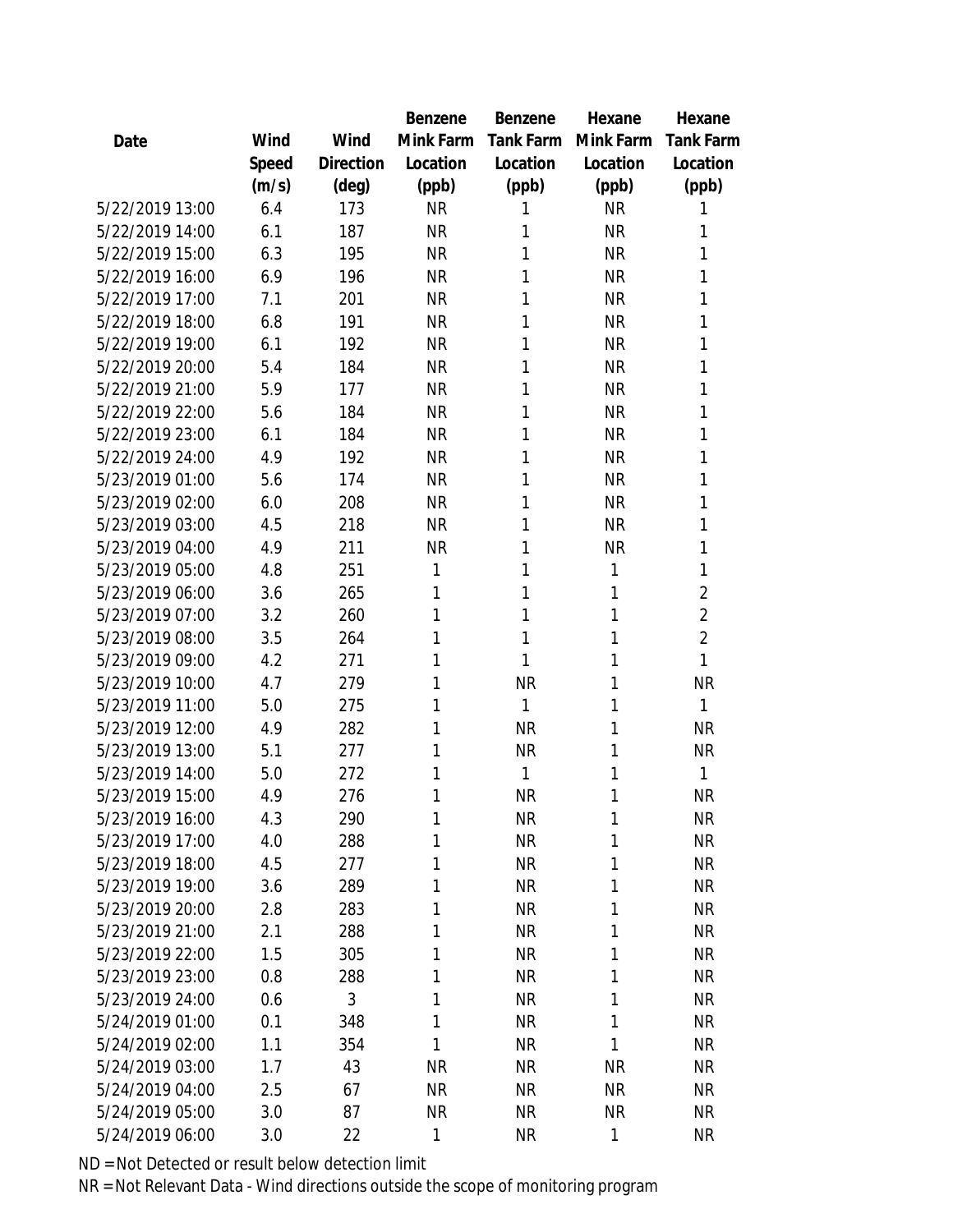|                 |       |           | Benzene   | Benzene   | Hexane    | Hexane           |
|-----------------|-------|-----------|-----------|-----------|-----------|------------------|
| Date            | Wind  | Wind      | Mink Farm | Tank Farm | Mink Farm | <b>Tank Farm</b> |
|                 | Speed | Direction | Location  | Location  | Location  | Location         |
|                 | (m/s) | (deg)     | (ppb)     | (ppb)     | (ppb)     | (ppb)            |
| 5/22/2019 13:00 | 6.4   | 173       | <b>NR</b> | 1         | <b>NR</b> | 1                |
| 5/22/2019 14:00 | 6.1   | 187       | <b>NR</b> | 1         | <b>NR</b> | 1                |
| 5/22/2019 15:00 | 6.3   | 195       | <b>NR</b> | 1         | <b>NR</b> | 1                |
| 5/22/2019 16:00 | 6.9   | 196       | <b>NR</b> | 1         | <b>NR</b> | 1                |
| 5/22/2019 17:00 | 7.1   | 201       | <b>NR</b> | 1         | <b>NR</b> | 1                |
| 5/22/2019 18:00 | 6.8   | 191       | <b>NR</b> | 1         | <b>NR</b> | 1                |
| 5/22/2019 19:00 | 6.1   | 192       | <b>NR</b> | 1         | <b>NR</b> | 1                |
| 5/22/2019 20:00 | 5.4   | 184       | <b>NR</b> | 1         | <b>NR</b> | 1                |
| 5/22/2019 21:00 | 5.9   | 177       | <b>NR</b> | 1         | <b>NR</b> | 1                |
| 5/22/2019 22:00 | 5.6   | 184       | <b>NR</b> | 1         | <b>NR</b> | 1                |
| 5/22/2019 23:00 | 6.1   | 184       | <b>NR</b> | 1         | <b>NR</b> | 1                |
| 5/22/2019 24:00 | 4.9   | 192       | <b>NR</b> | 1         | <b>NR</b> | 1                |
| 5/23/2019 01:00 | 5.6   | 174       | <b>NR</b> | 1         | <b>NR</b> | 1                |
| 5/23/2019 02:00 | 6.0   | 208       | <b>NR</b> | 1         | <b>NR</b> | 1                |
| 5/23/2019 03:00 | 4.5   | 218       | <b>NR</b> | 1         | <b>NR</b> | 1                |
| 5/23/2019 04:00 | 4.9   | 211       | <b>NR</b> | 1         | <b>NR</b> | 1                |
| 5/23/2019 05:00 | 4.8   | 251       | 1         | 1         | 1         | 1                |
| 5/23/2019 06:00 | 3.6   | 265       | 1         | 1         | 1         | $\overline{2}$   |
| 5/23/2019 07:00 | 3.2   | 260       | 1         | 1         | 1         | $\overline{2}$   |
| 5/23/2019 08:00 | 3.5   | 264       | 1         | 1         | 1         | $\overline{2}$   |
| 5/23/2019 09:00 | 4.2   | 271       | 1         | 1         | 1         | 1                |
| 5/23/2019 10:00 | 4.7   | 279       | 1         | <b>NR</b> | 1         | <b>NR</b>        |
| 5/23/2019 11:00 | 5.0   | 275       | 1         | 1         | 1         | 1                |
| 5/23/2019 12:00 | 4.9   | 282       | 1         | <b>NR</b> | 1         | <b>NR</b>        |
| 5/23/2019 13:00 | 5.1   | 277       | 1         | <b>NR</b> | 1         | <b>NR</b>        |
| 5/23/2019 14:00 | 5.0   | 272       | 1         | 1         | 1         | 1                |
| 5/23/2019 15:00 | 4.9   | 276       | 1         | <b>NR</b> | 1         | <b>NR</b>        |
| 5/23/2019 16:00 | 4.3   | 290       | 1         | <b>NR</b> | 1         | <b>NR</b>        |
| 5/23/2019 17:00 | 4.0   | 288       | 1         | <b>NR</b> | 1         | <b>NR</b>        |
| 5/23/2019 18:00 | 4.5   | 277       | 1         | <b>NR</b> | 1         | <b>NR</b>        |
| 5/23/2019 19:00 | 3.6   | 289       | 1         | <b>NR</b> | 1         | <b>NR</b>        |
| 5/23/2019 20:00 | 2.8   | 283       | 1         | <b>NR</b> | 1         | <b>NR</b>        |
| 5/23/2019 21:00 | 2.1   | 288       | 1         | <b>NR</b> | 1         | <b>NR</b>        |
| 5/23/2019 22:00 | 1.5   | 305       | 1         | <b>NR</b> | 1         | <b>NR</b>        |
| 5/23/2019 23:00 | 0.8   | 288       | 1         | <b>NR</b> | 1         | <b>NR</b>        |
| 5/23/2019 24:00 | 0.6   | 3         | 1         | <b>NR</b> | 1         | <b>NR</b>        |
| 5/24/2019 01:00 | 0.1   | 348       | 1         | <b>NR</b> | 1         | <b>NR</b>        |
| 5/24/2019 02:00 | 1.1   | 354       | 1         | <b>NR</b> | 1         | <b>NR</b>        |
| 5/24/2019 03:00 | 1.7   | 43        | <b>NR</b> | <b>NR</b> | <b>NR</b> | <b>NR</b>        |
| 5/24/2019 04:00 | 2.5   | 67        | <b>NR</b> | <b>NR</b> | <b>NR</b> | <b>NR</b>        |
| 5/24/2019 05:00 | 3.0   | 87        | <b>NR</b> | <b>NR</b> | <b>NR</b> | <b>NR</b>        |
| 5/24/2019 06:00 | 3.0   | 22        | 1         | <b>NR</b> | 1         | <b>NR</b>        |